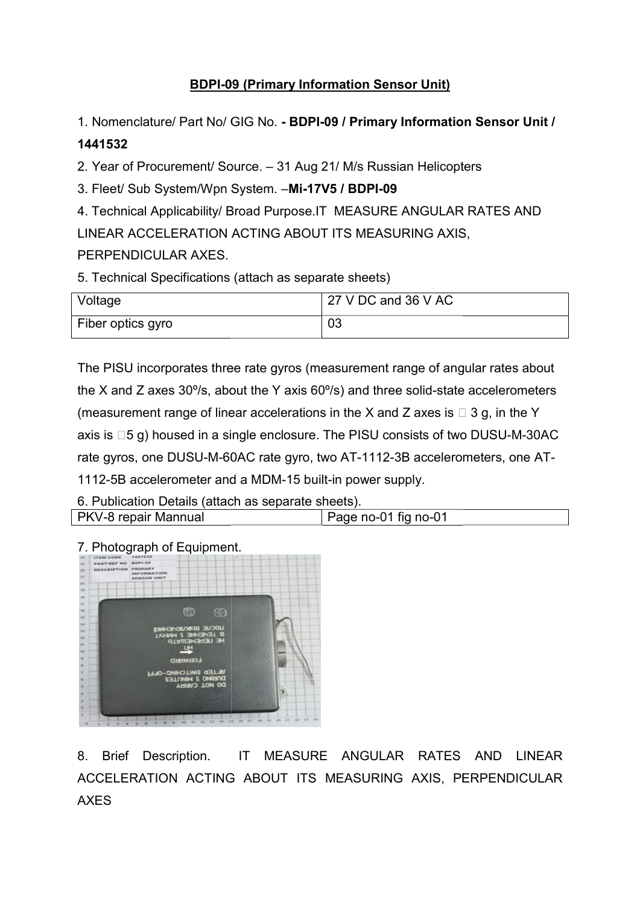## **BDPI-09 (Primary Information Sensor Unit)**

1. Nomenclature/ Part No/ GIG No. - BDPI-09 / Primary Information Sensor Unit /

## 1441532

2. Year of Procurement/ Source. – 31 Aug 21/ M/s Russian Helicopters

3. Fleet/ Sub System/Wpn System. -Mi-17V5 / BDPI-09

4. Technical Applicability/ Broad Purpose.IT MEASURE ANGULAR RATES AND LINEAR ACCELERATION ACTING ABOUT ITS MEASURING AXIS, . Technical Applicability/ Broad Purpose.IT MEASURE ANGULAR<br>INEAR ACCELERATION ACTING ABOUT ITS MEASURING AXIS<br>ERPENDICULAR AXES.<br>Technical Specifications (attach as separate sheets)<br>Voltage

## PERPENDICULAR AXES.

5. Technical Specifications (attach as separate sheets)

| Voltage           | 27 V DC and 36 V AC |
|-------------------|---------------------|
| Fiber optics gyro | 03                  |

The PISU incorporates three rate gyros (measurement range of angular rates about The PISU incorporates three rate gyros (measurement range of angular rates about<br>the X and Z axes 30º/s, about the Y axis 60º/s) and three solid-state accelerometers (measurement range of linear accelerations in the X and Z axes is  $\Box$  3 g, in the Y axis is  $\Box 5$  g) housed in a single enclosure. The PISU consists of two DUSU-M-30AC axis is ⊡5 g) housed in a single enclosure. The PISU consists of two DUSU-M-30AC<br>rate gyros, one DUSU-M-60AC rate gyro, two AT-1112-3B accelerometers, one AT-1112-5B accelerometer and a MDM-15 built-in power supply. . Nomenclature/ Part No/ GIG No. - BDPI-09 / Primary Information Sensor Unit /<br>
1441582<br>
- Year of Procurement/ Source. - 31 Aug 21/ Ms Russian Helicopters<br>
- Fect/ Sub System/Wpn System. - Mi-17V5 / BDPI-09<br>
- Technical

6. Publication Details (attach as separate sheets). PKV-8 repair Mannual Page no-01 fig no-01



7. Photograph of Equipment.

8. Brief Description. IT MEASURE ANGULAR RATES AND LINEAR ACCELERATION ACTING ABOUT ITS MEASURING AXIS, PERPENDICULAR AXES